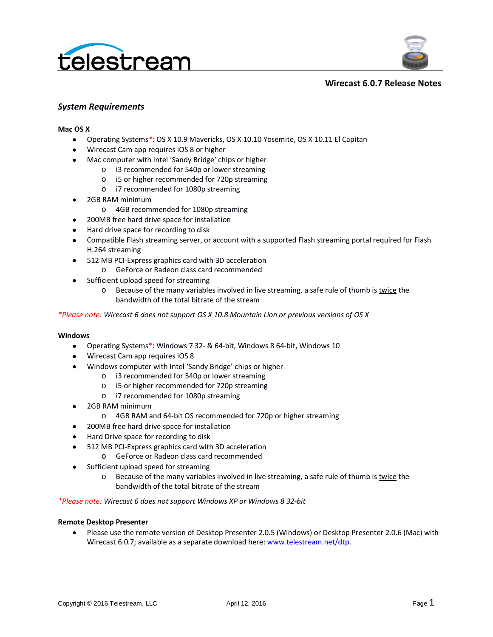



#### **Wirecast 6.0.7 Release Notes**

### *System Requirements*

### **Mac OS X**

- Operating Systems*\**: OS X 10.9 Mavericks, OS X 10.10 Yosemite, OS X 10.11 El Capitan
- Wirecast Cam app requires iOS 8 or higher
- Mac computer with Intel 'Sandy Bridge' chips or higher
	- o i3 recommended for 540p or lower streaming
	- o i5 or higher recommended for 720p streaming
	- o i7 recommended for 1080p streaming
- 2GB RAM minimum
	- o 4GB recommended for 1080p streaming
- 200MB free hard drive space for installation
- Hard drive space for recording to disk
- Compatible Flash streaming server, or account with a supported Flash streaming portal required for Flash H.264 streaming
- 512 MB PCI-Express graphics card with 3D acceleration
	- o GeForce or Radeon class card recommended
- Sufficient upload speed for streaming
	- o Because of the many variables involved in live streaming, a safe rule of thumb is twice the bandwidth of the total bitrate of the stream

*\*Please note: Wirecast 6 does not support OS X 10.8 Mountain Lion or previous versions of OS X*

#### **Windows**

- Operating Systems\*: Windows 7 32- & 64-bit, Windows 8 64-bit, Windows 10
- Wirecast Cam app requires iOS 8
- Windows computer with Intel 'Sandy Bridge' chips or higher
	- o i3 recommended for 540p or lower streaming
	- o i5 or higher recommended for 720p streaming
	- o i7 recommended for 1080p streaming
- 2GB RAM minimum
	- o 4GB RAM and 64-bit OS recommended for 720p or higher streaming
- 200MB free hard drive space for installation
- Hard Drive space for recording to disk
- 512 MB PCI-Express graphics card with 3D acceleration
	- o GeForce or Radeon class card recommended
- Sufficient upload speed for streaming
	- o Because of the many variables involved in live streaming, a safe rule of thumb is twice the bandwidth of the total bitrate of the stream

*\*Please note: Wirecast 6 does not support Windows XP or Windows 8 32-bit*

#### **Remote Desktop Presenter**

• Please use the remote version of Desktop Presenter 2.0.5 (Windows) or Desktop Presenter 2.0.6 (Mac) with Wirecast 6.0.7; available as a separate download here: [www.telestream.net/dtp.](http://www.telestream.net/dtp)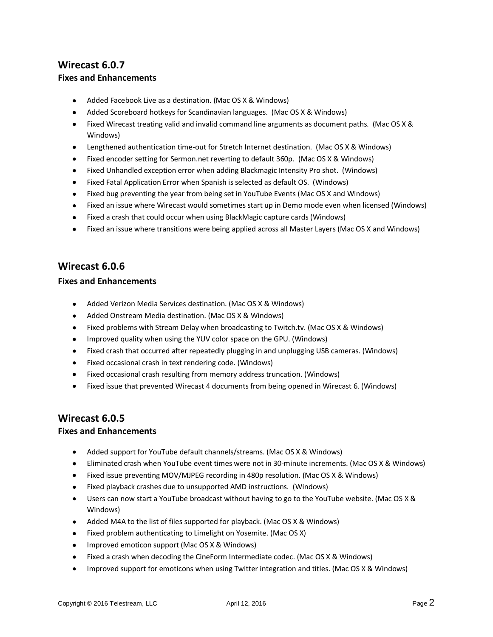# **Wirecast 6.0.7 Fixes and Enhancements**

- Added Facebook Live as a destination. (Mac OS X & Windows)
- Added Scoreboard hotkeys for Scandinavian languages. (Mac OS X & Windows)
- Fixed Wirecast treating valid and invalid command line arguments as document paths. (Mac OS X & Windows)
- Lengthened authentication time-out for Stretch Internet destination. (Mac OS X & Windows)
- Fixed encoder setting for Sermon.net reverting to default 360p. (Mac OS X & Windows)
- Fixed Unhandled exception error when adding Blackmagic Intensity Pro shot. (Windows)
- Fixed Fatal Application Error when Spanish is selected as default OS. (Windows)
- Fixed bug preventing the year from being set in YouTube Events (Mac OS X and Windows)
- Fixed an issue where Wirecast would sometimes start up in Demo mode even when licensed (Windows)
- Fixed a crash that could occur when using BlackMagic capture cards (Windows)
- Fixed an issue where transitions were being applied across all Master Layers (Mac OS X and Windows)

# **Wirecast 6.0.6**

### **Fixes and Enhancements**

- Added Verizon Media Services destination. (Mac OS X & Windows)
- Added Onstream Media destination. (Mac OS X & Windows)
- Fixed problems with Stream Delay when broadcasting to Twitch.tv. (Mac OS X & Windows)
- Improved quality when using the YUV color space on the GPU. (Windows)
- Fixed crash that occurred after repeatedly plugging in and unplugging USB cameras. (Windows)
- Fixed occasional crash in text rendering code. (Windows)
- Fixed occasional crash resulting from memory address truncation. (Windows)
- Fixed issue that prevented Wirecast 4 documents from being opened in Wirecast 6. (Windows)

## **Wirecast 6.0.5**

- Added support for YouTube default channels/streams. (Mac OS X & Windows)
- Eliminated crash when YouTube event times were not in 30-minute increments. (Mac OS X & Windows)
- Fixed issue preventing MOV/MJPEG recording in 480p resolution. (Mac OS X & Windows)
- Fixed playback crashes due to unsupported AMD instructions. (Windows)
- Users can now start a YouTube broadcast without having to go to the YouTube website. (Mac OS X & Windows)
- Added M4A to the list of files supported for playback. (Mac OS X & Windows)
- Fixed problem authenticating to Limelight on Yosemite. (Mac OS X)
- Improved emoticon support (Mac OS X & Windows)
- Fixed a crash when decoding the CineForm Intermediate codec. (Mac OS X & Windows)
- Improved support for emoticons when using Twitter integration and titles. (Mac OS X & Windows)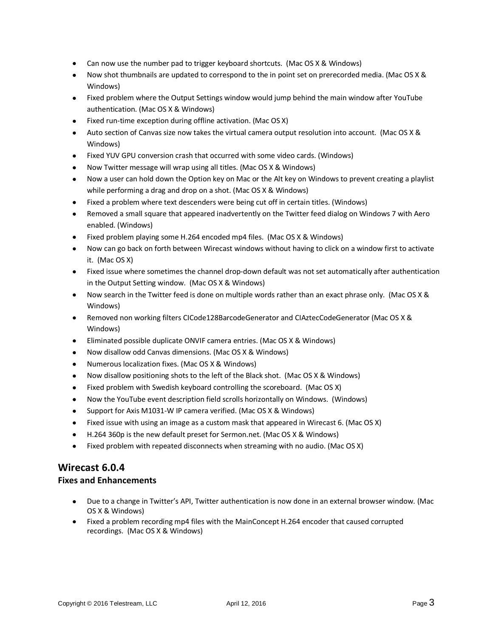- Can now use the number pad to trigger keyboard shortcuts. (Mac OS X & Windows)
- Now shot thumbnails are updated to correspond to the in point set on prerecorded media. (Mac OS X & Windows)
- Fixed problem where the Output Settings window would jump behind the main window after YouTube authentication. (Mac OS X & Windows)
- Fixed run-time exception during offline activation. (Mac OS X)
- Auto section of Canvas size now takes the virtual camera output resolution into account. (Mac OS X & Windows)
- Fixed YUV GPU conversion crash that occurred with some video cards. (Windows)
- Now Twitter message will wrap using all titles. (Mac OS X & Windows)
- Now a user can hold down the Option key on Mac or the Alt key on Windows to prevent creating a playlist while performing a drag and drop on a shot. (Mac OS X & Windows)
- Fixed a problem where text descenders were being cut off in certain titles. (Windows)
- Removed a small square that appeared inadvertently on the Twitter feed dialog on Windows 7 with Aero enabled. (Windows)
- Fixed problem playing some H.264 encoded mp4 files. (Mac OS X & Windows)
- Now can go back on forth between Wirecast windows without having to click on a window first to activate it. (Mac OS X)
- Fixed issue where sometimes the channel drop-down default was not set automatically after authentication in the Output Setting window. (Mac OS X & Windows)
- Now search in the Twitter feed is done on multiple words rather than an exact phrase only. (Mac OS X & Windows)
- Removed non working filters CICode128BarcodeGenerator and CIAztecCodeGenerator (Mac OS X & Windows)
- Eliminated possible duplicate ONVIF camera entries. (Mac OS X & Windows)
- Now disallow odd Canvas dimensions. (Mac OS X & Windows)
- Numerous localization fixes. (Mac OS X & Windows)
- Now disallow positioning shots to the left of the Black shot. (Mac OS X & Windows)
- Fixed problem with Swedish keyboard controlling the scoreboard. (Mac OS X)
- Now the YouTube event description field scrolls horizontally on Windows. (Windows)
- Support for Axis M1031-W IP camera verified. (Mac OS X & Windows)
- Fixed issue with using an image as a custom mask that appeared in Wirecast 6. (Mac OS X)
- H.264 360p is the new default preset for Sermon.net. (Mac OS X & Windows)
- Fixed problem with repeated disconnects when streaming with no audio. (Mac OS X)

# **Wirecast 6.0.4**

- Due to a change in Twitter's API, Twitter authentication is now done in an external browser window. (Mac OS X & Windows)
- Fixed a problem recording mp4 files with the MainConcept H.264 encoder that caused corrupted recordings. (Mac OS X & Windows)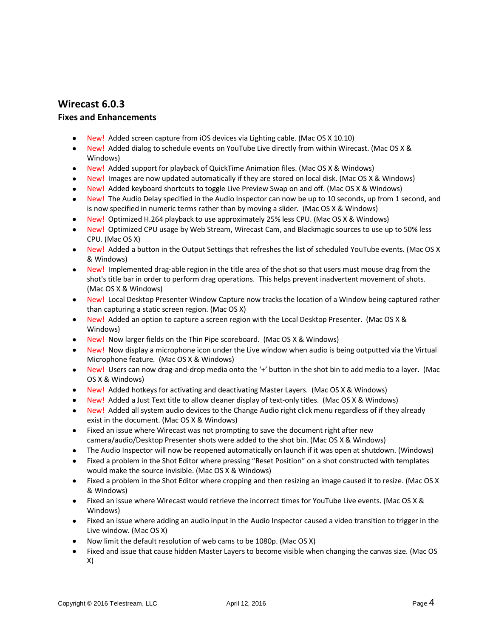# **Wirecast 6.0.3**

- New! Added screen capture from iOS devices via Lighting cable. (Mac OS X 10.10)
- New! Added dialog to schedule events on YouTube Live directly from within Wirecast. (Mac OS X & Windows)
- New! Added support for playback of QuickTime Animation files. (Mac OS X & Windows)
- New! Images are now updated automatically if they are stored on local disk. (Mac OS X & Windows)
- New! Added keyboard shortcuts to toggle Live Preview Swap on and off. (Mac OS X & Windows)
- New! The Audio Delay specified in the Audio Inspector can now be up to 10 seconds, up from 1 second, and is now specified in numeric terms rather than by moving a slider. (Mac OS X & Windows)
- New! Optimized H.264 playback to use approximately 25% less CPU. (Mac OS X & Windows)
- New! Optimized CPU usage by Web Stream, Wirecast Cam, and Blackmagic sources to use up to 50% less CPU. (Mac OS X)
- New! Added a button in the Output Settings that refreshes the list of scheduled YouTube events. (Mac OS X & Windows)
- New! Implemented drag-able region in the title area of the shot so that users must mouse drag from the shot's title bar in order to perform drag operations. This helps prevent inadvertent movement of shots. (Mac OS X & Windows)
- New! Local Desktop Presenter Window Capture now tracks the location of a Window being captured rather than capturing a static screen region. (Mac OS X)
- New! Added an option to capture a screen region with the Local Desktop Presenter. (Mac OS X & Windows)
- New! Now larger fields on the Thin Pipe scoreboard. (Mac OS X & Windows)
- New! Now display a microphone icon under the Live window when audio is being outputted via the Virtual Microphone feature. (Mac OS X & Windows)
- New! Users can now drag-and-drop media onto the '+' button in the shot bin to add media to a layer. (Mac OS X & Windows)
- New! Added hotkeys for activating and deactivating Master Layers. (Mac OS X & Windows)
- New! Added a Just Text title to allow cleaner display of text-only titles. (Mac OS X & Windows)
- New! Added all system audio devices to the Change Audio right click menu regardless of if they already exist in the document. (Mac OS X & Windows)
- Fixed an issue where Wirecast was not prompting to save the document right after new camera/audio/Desktop Presenter shots were added to the shot bin. (Mac OS X & Windows)
- The Audio Inspector will now be reopened automatically on launch if it was open at shutdown. (Windows)
- Fixed a problem in the Shot Editor where pressing "Reset Position" on a shot constructed with templates would make the source invisible. (Mac OS X & Windows)
- Fixed a problem in the Shot Editor where cropping and then resizing an image caused it to resize. (Mac OS X & Windows)
- Fixed an issue where Wirecast would retrieve the incorrect times for YouTube Live events. (Mac OS X & Windows)
- Fixed an issue where adding an audio input in the Audio Inspector caused a video transition to trigger in the Live window. (Mac OS X)
- Now limit the default resolution of web cams to be 1080p. (Mac OS X)
- Fixed and issue that cause hidden Master Layers to become visible when changing the canvas size. (Mac OS X)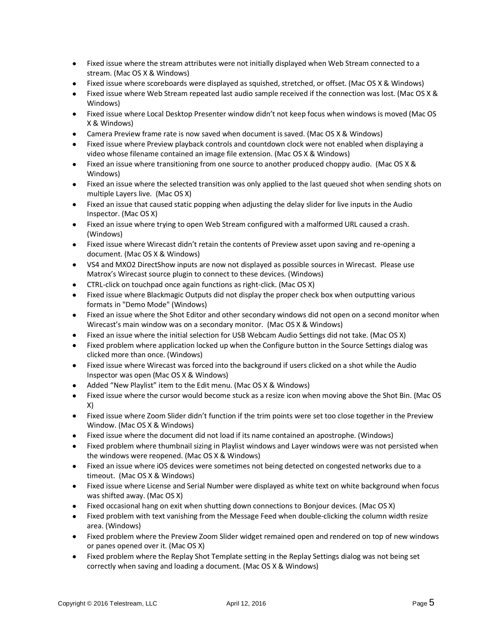- Fixed issue where the stream attributes were not initially displayed when Web Stream connected to a stream. (Mac OS X & Windows)
- Fixed issue where scoreboards were displayed as squished, stretched, or offset. (Mac OS X & Windows)
- Fixed issue where Web Stream repeated last audio sample received if the connection was lost. (Mac OS X & Windows)
- Fixed issue where Local Desktop Presenter window didn't not keep focus when windows is moved (Mac OS X & Windows)
- Camera Preview frame rate is now saved when document is saved. (Mac OS X & Windows)
- Fixed issue where Preview playback controls and countdown clock were not enabled when displaying a video whose filename contained an image file extension. (Mac OS X & Windows)
- Fixed an issue where transitioning from one source to another produced choppy audio. (Mac OS X & Windows)
- Fixed an issue where the selected transition was only applied to the last queued shot when sending shots on multiple Layers live. (Mac OS X)
- Fixed an issue that caused static popping when adjusting the delay slider for live inputs in the Audio Inspector. (Mac OS X)
- Fixed an issue where trying to open Web Stream configured with a malformed URL caused a crash. (Windows)
- Fixed issue where Wirecast didn't retain the contents of Preview asset upon saving and re-opening a document. (Mac OS X & Windows)
- VS4 and MXO2 DirectShow inputs are now not displayed as possible sources in Wirecast. Please use Matrox's Wirecast source plugin to connect to these devices. (Windows)
- CTRL-click on touchpad once again functions as right-click. (Mac OS X)
- Fixed issue where Blackmagic Outputs did not display the proper check box when outputting various formats in "Demo Mode" (Windows)
- Fixed an issue where the Shot Editor and other secondary windows did not open on a second monitor when Wirecast's main window was on a secondary monitor. (Mac OS X & Windows)
- Fixed an issue where the initial selection for USB Webcam Audio Settings did not take. (Mac OS X)
- Fixed problem where application locked up when the Configure button in the Source Settings dialog was clicked more than once. (Windows)
- Fixed issue where Wirecast was forced into the background if users clicked on a shot while the Audio Inspector was open (Mac OS X & Windows)
- Added "New Playlist" item to the Edit menu. (Mac OS X & Windows)
- Fixed issue where the cursor would become stuck as a resize icon when moving above the Shot Bin. (Mac OS X)
- Fixed issue where Zoom Slider didn't function if the trim points were set too close together in the Preview Window. (Mac OS X & Windows)
- Fixed issue where the document did not load if its name contained an apostrophe. (Windows)
- Fixed problem where thumbnail sizing in Playlist windows and Layer windows were was not persisted when the windows were reopened. (Mac OS X & Windows)
- Fixed an issue where iOS devices were sometimes not being detected on congested networks due to a timeout. (Mac OS X & Windows)
- Fixed issue where License and Serial Number were displayed as white text on white background when focus was shifted away. (Mac OS X)
- Fixed occasional hang on exit when shutting down connections to Bonjour devices. (Mac OS X)
- Fixed problem with text vanishing from the Message Feed when double-clicking the column width resize area. (Windows)
- Fixed problem where the Preview Zoom Slider widget remained open and rendered on top of new windows or panes opened over it. (Mac OS X)
- Fixed problem where the Replay Shot Template setting in the Replay Settings dialog was not being set correctly when saving and loading a document. (Mac OS X & Windows)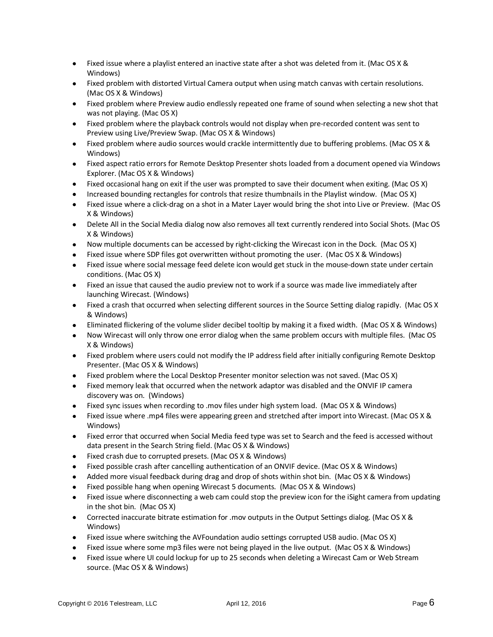- Fixed issue where a playlist entered an inactive state after a shot was deleted from it. (Mac OS X & Windows)
- Fixed problem with distorted Virtual Camera output when using match canvas with certain resolutions. (Mac OS X & Windows)
- Fixed problem where Preview audio endlessly repeated one frame of sound when selecting a new shot that was not playing. (Mac OS X)
- Fixed problem where the playback controls would not display when pre-recorded content was sent to Preview using Live/Preview Swap. (Mac OS X & Windows)
- Fixed problem where audio sources would crackle intermittently due to buffering problems. (Mac OS X & Windows)
- Fixed aspect ratio errors for Remote Desktop Presenter shots loaded from a document opened via Windows Explorer. (Mac OS X & Windows)
- Fixed occasional hang on exit if the user was prompted to save their document when exiting. (Mac OS X)
- Increased bounding rectangles for controls that resize thumbnails in the Playlist window. (Mac OS X)
- Fixed issue where a click-drag on a shot in a Mater Layer would bring the shot into Live or Preview. (Mac OS X & Windows)
- Delete All in the Social Media dialog now also removes all text currently rendered into Social Shots. (Mac OS X & Windows)
- Now multiple documents can be accessed by right-clicking the Wirecast icon in the Dock. (Mac OS X)
- Fixed issue where SDP files got overwritten without promoting the user. (Mac OS X & Windows)
- Fixed issue where social message feed delete icon would get stuck in the mouse-down state under certain conditions. (Mac OS X)
- Fixed an issue that caused the audio preview not to work if a source was made live immediately after launching Wirecast. (Windows)
- Fixed a crash that occurred when selecting different sources in the Source Setting dialog rapidly. (Mac OS X & Windows)
- Eliminated flickering of the volume slider decibel tooltip by making it a fixed width. (Mac OS X & Windows)
- Now Wirecast will only throw one error dialog when the same problem occurs with multiple files. (Mac OS X & Windows)
- Fixed problem where users could not modify the IP address field after initially configuring Remote Desktop Presenter. (Mac OS X & Windows)
- Fixed problem where the Local Desktop Presenter monitor selection was not saved. (Mac OS X)
- Fixed memory leak that occurred when the network adaptor was disabled and the ONVIF IP camera discovery was on. (Windows)
- Fixed sync issues when recording to .mov files under high system load. (Mac OS X & Windows)
- Fixed issue where .mp4 files were appearing green and stretched after import into Wirecast. (Mac OS X & Windows)
- Fixed error that occurred when Social Media feed type was set to Search and the feed is accessed without data present in the Search String field. (Mac OS X & Windows)
- Fixed crash due to corrupted presets. (Mac OS X & Windows)
- Fixed possible crash after cancelling authentication of an ONVIF device. (Mac OS X & Windows)
- Added more visual feedback during drag and drop of shots within shot bin. (Mac OS X & Windows)
- Fixed possible hang when opening Wirecast 5 documents. (Mac OS X & Windows)
- Fixed issue where disconnecting a web cam could stop the preview icon for the iSight camera from updating in the shot bin. (Mac OS X)
- Corrected inaccurate bitrate estimation for .mov outputs in the Output Settings dialog. (Mac OS X & Windows)
- Fixed issue where switching the AVFoundation audio settings corrupted USB audio. (Mac OS X)
- Fixed issue where some mp3 files were not being played in the live output. (Mac OS X & Windows)
- Fixed issue where UI could lockup for up to 25 seconds when deleting a Wirecast Cam or Web Stream source. (Mac OS X & Windows)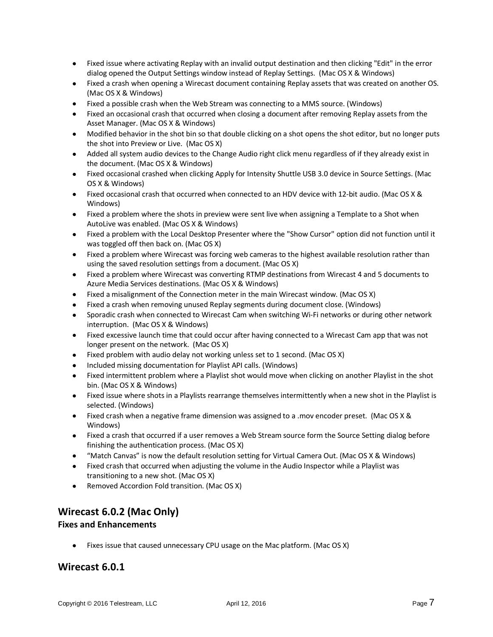- Fixed issue where activating Replay with an invalid output destination and then clicking "Edit" in the error dialog opened the Output Settings window instead of Replay Settings. (Mac OS X & Windows)
- Fixed a crash when opening a Wirecast document containing Replay assets that was created on another OS. (Mac OS X & Windows)
- Fixed a possible crash when the Web Stream was connecting to a MMS source. (Windows)
- Fixed an occasional crash that occurred when closing a document after removing Replay assets from the Asset Manager. (Mac OS X & Windows)
- Modified behavior in the shot bin so that double clicking on a shot opens the shot editor, but no longer puts the shot into Preview or Live. (Mac OS X)
- Added all system audio devices to the Change Audio right click menu regardless of if they already exist in the document. (Mac OS X & Windows)
- Fixed occasional crashed when clicking Apply for Intensity Shuttle USB 3.0 device in Source Settings. (Mac OS X & Windows)
- Fixed occasional crash that occurred when connected to an HDV device with 12-bit audio. (Mac OS X & Windows)
- Fixed a problem where the shots in preview were sent live when assigning a Template to a Shot when AutoLive was enabled. (Mac OS X & Windows)
- Fixed a problem with the Local Desktop Presenter where the "Show Cursor" option did not function until it was toggled off then back on. (Mac OS X)
- Fixed a problem where Wirecast was forcing web cameras to the highest available resolution rather than using the saved resolution settings from a document. (Mac OS X)
- Fixed a problem where Wirecast was converting RTMP destinations from Wirecast 4 and 5 documents to Azure Media Services destinations. (Mac OS X & Windows)
- Fixed a misalignment of the Connection meter in the main Wirecast window. (Mac OS X)
- Fixed a crash when removing unused Replay segments during document close. (Windows)
- Sporadic crash when connected to Wirecast Cam when switching Wi-Fi networks or during other network interruption. (Mac OS X & Windows)
- Fixed excessive launch time that could occur after having connected to a Wirecast Cam app that was not longer present on the network. (Mac OS X)
- Fixed problem with audio delay not working unless set to 1 second. (Mac OS X)
- Included missing documentation for Playlist API calls. (Windows)
- Fixed intermittent problem where a Playlist shot would move when clicking on another Playlist in the shot bin. (Mac OS X & Windows)
- Fixed issue where shots in a Playlists rearrange themselves intermittently when a new shot in the Playlist is selected. (Windows)
- Fixed crash when a negative frame dimension was assigned to a .mov encoder preset. (Mac OS X & Windows)
- Fixed a crash that occurred if a user removes a Web Stream source form the Source Setting dialog before finishing the authentication process. (Mac OS X)
- "Match Canvas" is now the default resolution setting for Virtual Camera Out. (Mac OS X & Windows)
- Fixed crash that occurred when adjusting the volume in the Audio Inspector while a Playlist was transitioning to a new shot. (Mac OS X)
- Removed Accordion Fold transition. (Mac OS X)

# **Wirecast 6.0.2 (Mac Only)**

### **Fixes and Enhancements**

• Fixes issue that caused unnecessary CPU usage on the Mac platform. (Mac OS X)

## **Wirecast 6.0.1**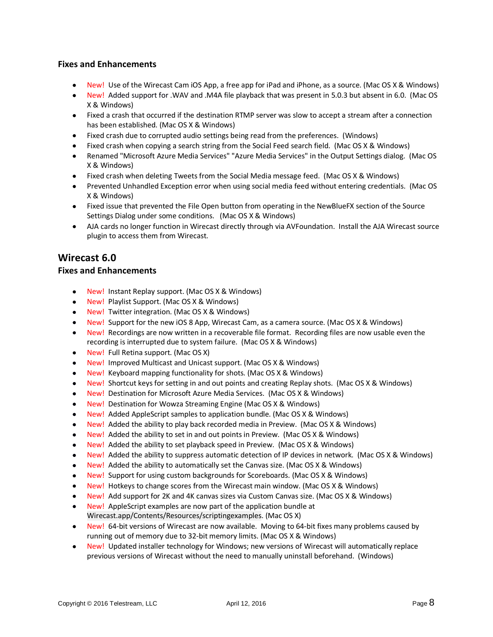### **Fixes and Enhancements**

- New! Use of the Wirecast Cam iOS App, a free app for iPad and iPhone, as a source. (Mac OS X & Windows)
- New! Added support for .WAV and .M4A file playback that was present in 5.0.3 but absent in 6.0. (Mac OS X & Windows)
- Fixed a crash that occurred if the destination RTMP server was slow to accept a stream after a connection has been established. (Mac OS X & Windows)
- Fixed crash due to corrupted audio settings being read from the preferences. (Windows)
- Fixed crash when copying a search string from the Social Feed search field. (Mac OS X & Windows)
- Renamed "Microsoft Azure Media Services" "Azure Media Services" in the Output Settings dialog. (Mac OS X & Windows)
- Fixed crash when deleting Tweets from the Social Media message feed. (Mac OS X & Windows)
- Prevented Unhandled Exception error when using social media feed without entering credentials. (Mac OS X & Windows)
- Fixed issue that prevented the File Open button from operating in the NewBlueFX section of the Source Settings Dialog under some conditions. (Mac OS X & Windows)
- AJA cards no longer function in Wirecast directly through via AVFoundation. Install the AJA Wirecast source plugin to access them from Wirecast.

# **Wirecast 6.0**

- New! Instant Replay support. (Mac OS X & Windows)
- New! Playlist Support. (Mac OS X & Windows)
- New! Twitter integration. (Mac OS X & Windows)
- New! Support for the new iOS 8 App, Wirecast Cam, as a camera source. (Mac OS X & Windows)
- New! Recordings are now written in a recoverable file format. Recording files are now usable even the recording is interrupted due to system failure. (Mac OS X & Windows)
- New! Full Retina support. (Mac OS X)
- New! Improved Multicast and Unicast support. (Mac OS X & Windows)
- New! Keyboard mapping functionality for shots. (Mac OS X & Windows)
- New! Shortcut keys for setting in and out points and creating Replay shots. (Mac OS X & Windows)
- New! Destination for Microsoft Azure Media Services. (Mac OS X & Windows)
- New! Destination for Wowza Streaming Engine (Mac OS X & Windows)
- New! Added AppleScript samples to application bundle. (Mac OS X & Windows)
- New! Added the ability to play back recorded media in Preview. (Mac OS X & Windows)
- New! Added the ability to set in and out points in Preview. (Mac OS X & Windows)
- New! Added the ability to set playback speed in Preview. (Mac OS X & Windows)
- New! Added the ability to suppress automatic detection of IP devices in network. (Mac OS X & Windows)
- New! Added the ability to automatically set the Canvas size. (Mac OS X & Windows)
- New! Support for using custom backgrounds for Scoreboards. (Mac OS X & Windows)
- New! Hotkeys to change scores from the Wirecast main window. (Mac OS X & Windows)
- New! Add support for 2K and 4K canvas sizes via Custom Canvas size. (Mac OS X & Windows)
- New! AppleScript examples are now part of the application bundle at Wirecast.app/Contents/Resources/scriptingexamples. (Mac OS X)
- New! 64-bit versions of Wirecast are now available. Moving to 64-bit fixes many problems caused by running out of memory due to 32-bit memory limits. (Mac OS X & Windows)
- New! Updated installer technology for Windows; new versions of Wirecast will automatically replace previous versions of Wirecast without the need to manually uninstall beforehand. (Windows)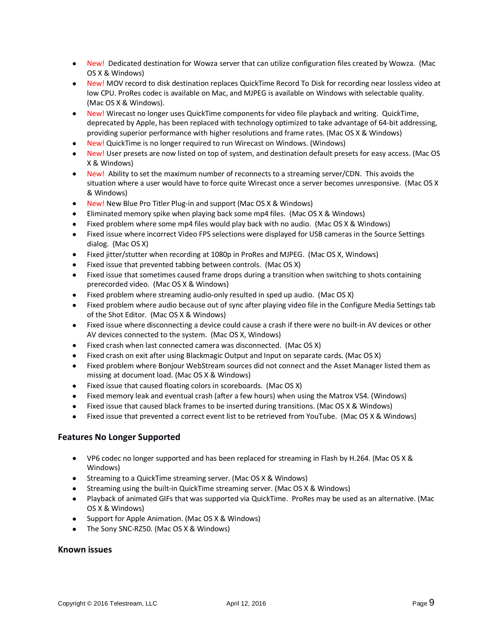- New! Dedicated destination for Wowza server that can utilize configuration files created by Wowza. (Mac OS X & Windows)
- New! MOV record to disk destination replaces QuickTime Record To Disk for recording near lossless video at low CPU. ProRes codec is available on Mac, and MJPEG is available on Windows with selectable quality. (Mac OS X & Windows).
- New! Wirecast no longer uses QuickTime components for video file playback and writing. QuickTime, deprecated by Apple, has been replaced with technology optimized to take advantage of 64-bit addressing, providing superior performance with higher resolutions and frame rates. (Mac OS X & Windows)
- New! QuickTime is no longer required to run Wirecast on Windows. (Windows)
- New! User presets are now listed on top of system, and destination default presets for easy access. (Mac OS X & Windows)
- New! Ability to set the maximum number of reconnects to a streaming server/CDN. This avoids the situation where a user would have to force quite Wirecast once a server becomes unresponsive. (Mac OS X & Windows)
- New! New Blue Pro Titler Plug-in and support (Mac OS X & Windows)
- Eliminated memory spike when playing back some mp4 files. (Mac OS X & Windows)
- Fixed problem where some mp4 files would play back with no audio. (Mac OS X & Windows)
- Fixed issue where incorrect Video FPS selections were displayed for USB cameras in the Source Settings dialog. (Mac OS X)
- Fixed jitter/stutter when recording at 1080p in ProRes and MJPEG. (Mac OS X, Windows)
- Fixed issue that prevented tabbing between controls. (Mac OS X)
- Fixed issue that sometimes caused frame drops during a transition when switching to shots containing prerecorded video. (Mac OS X & Windows)
- Fixed problem where streaming audio-only resulted in sped up audio. (Mac OS X)
- Fixed problem where audio because out of sync after playing video file in the Configure Media Settings tab of the Shot Editor. (Mac OS X & Windows)
- Fixed issue where disconnecting a device could cause a crash if there were no built-in AV devices or other AV devices connected to the system. (Mac OS X, Windows)
- Fixed crash when last connected camera was disconnected. (Mac OS X)
- Fixed crash on exit after using Blackmagic Output and Input on separate cards. (Mac OS X)
- Fixed problem where Bonjour WebStream sources did not connect and the Asset Manager listed them as missing at document load. (Mac OS X & Windows)
- Fixed issue that caused floating colors in scoreboards. (Mac OS X)
- Fixed memory leak and eventual crash (after a few hours) when using the Matrox VS4. (Windows)
- Fixed issue that caused black frames to be inserted during transitions. (Mac OS X & Windows)
- Fixed issue that prevented a correct event list to be retrieved from YouTube. (Mac OS X & Windows)

### **Features No Longer Supported**

- VP6 codec no longer supported and has been replaced for streaming in Flash by H.264. (Mac OS X & Windows)
- Streaming to a QuickTime streaming server. (Mac OS X & Windows)
- Streaming using the built-in QuickTime streaming server. (Mac OS X & Windows)
- Playback of animated GIFs that was supported via QuickTime. ProRes may be used as an alternative. (Mac OS X & Windows)
- Support for Apple Animation. (Mac OS X & Windows)
- The Sony SNC-RZ50. (Mac OS X & Windows)

### **Known issues**